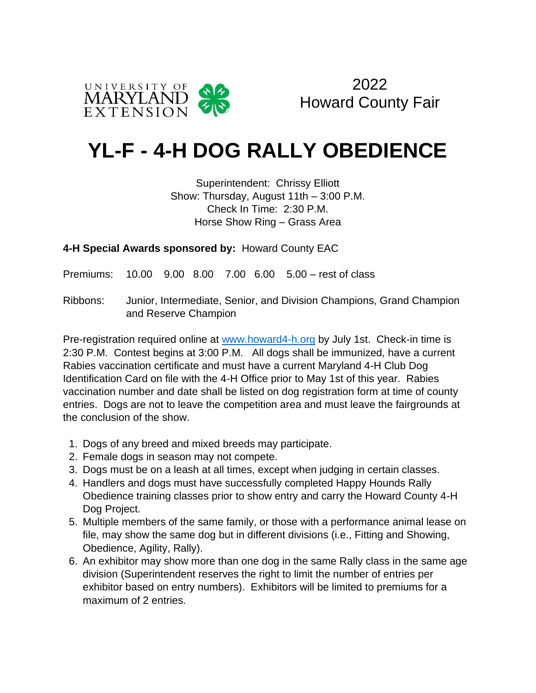



## **YL-F - 4-H DOG RALLY OBEDIENCE**

Superintendent: Chrissy Elliott Show: Thursday, August 11th – 3:00 P.M. Check In Time: 2:30 P.M. Horse Show Ring – Grass Area

**4-H Special Awards sponsored by:** Howard County EAC

Premiums: 10.00 9.00 8.00 7.00 6.00 5.00 – rest of class

Ribbons: Junior, Intermediate, Senior, and Division Champions, Grand Champion and Reserve Champion

Pre-registration required online at [www.howard4-h.org](http://www.howard4-h.org/) by July 1st. Check-in time is 2:30 P.M. Contest begins at 3:00 P.M. All dogs shall be immunized, have a current Rabies vaccination certificate and must have a current Maryland 4-H Club Dog Identification Card on file with the 4-H Office prior to May 1st of this year. Rabies vaccination number and date shall be listed on dog registration form at time of county entries. Dogs are not to leave the competition area and must leave the fairgrounds at the conclusion of the show.

- 1. Dogs of any breed and mixed breeds may participate.
- 2. Female dogs in season may not compete.
- 3. Dogs must be on a leash at all times, except when judging in certain classes.
- 4. Handlers and dogs must have successfully completed Happy Hounds Rally Obedience training classes prior to show entry and carry the Howard County 4-H Dog Project.
- 5. Multiple members of the same family, or those with a performance animal lease on file, may show the same dog but in different divisions (i.e., Fitting and Showing, Obedience, Agility, Rally).
- 6. An exhibitor may show more than one dog in the same Rally class in the same age division (Superintendent reserves the right to limit the number of entries per exhibitor based on entry numbers). Exhibitors will be limited to premiums for a maximum of 2 entries.